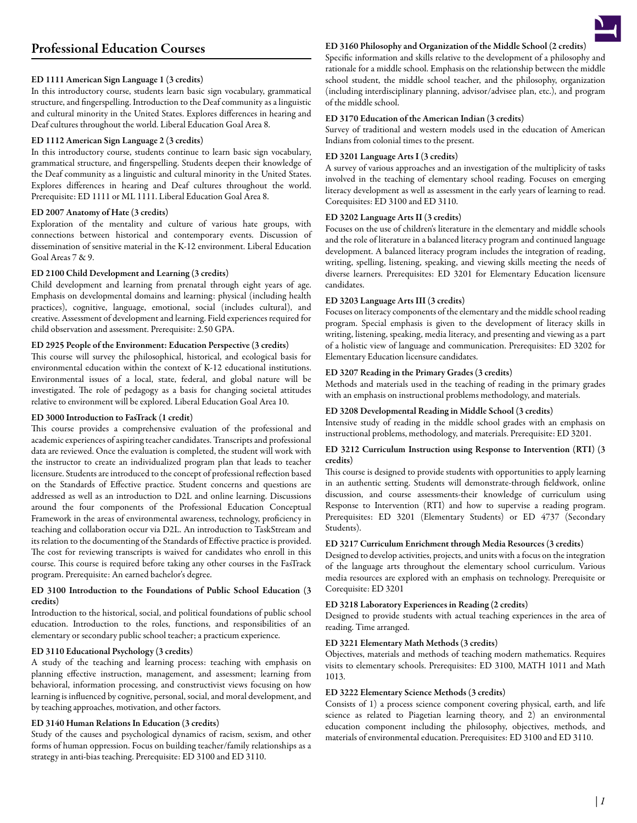# Professional Education Courses

## ED 1111 American Sign Language 1 (3 credits)

In this introductory course, students learn basic sign vocabulary, grammatical structure, and fingerspelling. Introduction to the Deaf community as a linguistic and cultural minority in the United States. Explores differences in hearing and Deaf cultures throughout the world. Liberal Education Goal Area 8.

#### ED 1112 American Sign Language 2 (3 credits)

In this introductory course, students continue to learn basic sign vocabulary, grammatical structure, and fingerspelling. Students deepen their knowledge of the Deaf community as a linguistic and cultural minority in the United States. Explores differences in hearing and Deaf cultures throughout the world. Prerequisite: ED 1111 or ML 1111. Liberal Education Goal Area 8.

#### ED 2007 Anatomy of Hate (3 credits)

Exploration of the mentality and culture of various hate groups, with connections between historical and contemporary events. Discussion of dissemination of sensitive material in the K-12 environment. Liberal Education Goal Areas 7 & 9.

#### ED 2100 Child Development and Learning (3 credits)

Child development and learning from prenatal through eight years of age. Emphasis on developmental domains and learning: physical (including health practices), cognitive, language, emotional, social (includes cultural), and creative. Assessment of development and learning. Field experiences required for child observation and assessment. Prerequisite: 2.50 GPA.

# ED 2925 People of the Environment: Education Perspective (3 credits)

This course will survey the philosophical, historical, and ecological basis for environmental education within the context of K-12 educational institutions. Environmental issues of a local, state, federal, and global nature will be investigated. The role of pedagogy as a basis for changing societal attitudes relative to environment will be explored. Liberal Education Goal Area 10.

## ED 3000 Introduction to FasTrack (1 credit)

This course provides a comprehensive evaluation of the professional and academic experiences of aspiring teacher candidates. Transcripts and professional data are reviewed. Once the evaluation is completed, the student will work with the instructor to create an individualized program plan that leads to teacher licensure. Students are introduced to the concept of professional reflection based on the Standards of Effective practice. Student concerns and questions are addressed as well as an introduction to D2L and online learning. Discussions around the four components of the Professional Education Conceptual Framework in the areas of environmental awareness, technology, proficiency in teaching and collaboration occur via D2L. An introduction to TaskStream and its relation to the documenting of the Standards of Effective practice is provided. The cost for reviewing transcripts is waived for candidates who enroll in this course. This course is required before taking any other courses in the FasTrack program. Prerequisite: An earned bachelor's degree.

## ED 3100 Introduction to the Foundations of Public School Education (3 credits)

Introduction to the historical, social, and political foundations of public school education. Introduction to the roles, functions, and responsibilities of an elementary or secondary public school teacher; a practicum experience.

#### ED 3110 Educational Psychology (3 credits)

A study of the teaching and learning process: teaching with emphasis on planning effective instruction, management, and assessment; learning from behavioral, information processing, and constructivist views focusing on how learning is influenced by cognitive, personal, social, and moral development, and by teaching approaches, motivation, and other factors.

#### ED 3140 Human Relations In Education (3 credits)

Study of the causes and psychological dynamics of racism, sexism, and other forms of human oppression. Focus on building teacher/family relationships as a strategy in anti-bias teaching. Prerequisite: ED 3100 and ED 3110.

## ED 3160 Philosophy and Organization of the Middle School (2 credits)

Specific information and skills relative to the development of a philosophy and rationale for a middle school. Emphasis on the relationship between the middle school student, the middle school teacher, and the philosophy, organization (including interdisciplinary planning, advisor/advisee plan, etc.), and program

#### ED 3170 Education of the American Indian (3 credits)

Survey of traditional and western models used in the education of American Indians from colonial times to the present.

#### ED 3201 Language Arts I (3 credits)

of the middle school.

A survey of various approaches and an investigation of the multiplicity of tasks involved in the teaching of elementary school reading. Focuses on emerging literacy development as well as assessment in the early years of learning to read. Corequisites: ED 3100 and ED 3110.

#### ED 3202 Language Arts II (3 credits)

Focuses on the use of children's literature in the elementary and middle schools and the role of literature in a balanced literacy program and continued language development. A balanced literacy program includes the integration of reading, writing, spelling, listening, speaking, and viewing skills meeting the needs of diverse learners. Prerequisites: ED 3201 for Elementary Education licensure candidates.

#### ED 3203 Language Arts III (3 credits)

Focuses on literacy components of the elementary and the middle school reading program. Special emphasis is given to the development of literacy skills in writing, listening, speaking, media literacy, and presenting and viewing as a part of a holistic view of language and communication. Prerequisites: ED 3202 for Elementary Education licensure candidates.

## ED 3207 Reading in the Primary Grades (3 credits)

Methods and materials used in the teaching of reading in the primary grades with an emphasis on instructional problems methodology, and materials.

## ED 3208 Developmental Reading in Middle School (3 credits)

Intensive study of reading in the middle school grades with an emphasis on instructional problems, methodology, and materials. Prerequisite: ED 3201.

#### ED 3212 Curriculum Instruction using Response to Intervention (RTI) (3 credits)

This course is designed to provide students with opportunities to apply learning in an authentic setting. Students will demonstrate-through fieldwork, online discussion, and course assessments-their knowledge of curriculum using Response to Intervention (RTI) and how to supervise a reading program. Prerequisites: ED 3201 (Elementary Students) or ED 4737 (Secondary Students).

## ED 3217 Curriculum Enrichment through Media Resources (3 credits)

Designed to develop activities, projects, and units with a focus on the integration of the language arts throughout the elementary school curriculum. Various media resources are explored with an emphasis on technology. Prerequisite or Corequisite: ED 3201

## ED 3218 Laboratory Experiences in Reading (2 credits)

Designed to provide students with actual teaching experiences in the area of reading. Time arranged.

#### ED 3221 Elementary Math Methods (3 credits)

Objectives, materials and methods of teaching modern mathematics. Requires visits to elementary schools. Prerequisites: ED 3100, MATH 1011 and Math 1013.

### ED 3222 Elementary Science Methods (3 credits)

Consists of 1) a process science component covering physical, earth, and life science as related to Piagetian learning theory, and 2) an environmental education component including the philosophy, objectives, methods, and materials of environmental education. Prerequisites: ED 3100 and ED 3110.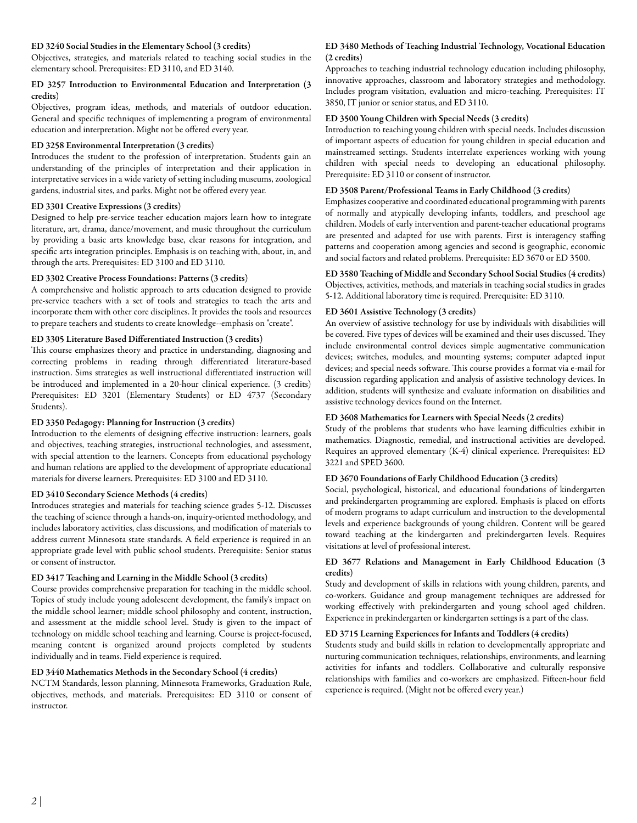#### ED 3240 Social Studies in the Elementary School (3 credits)

Objectives, strategies, and materials related to teaching social studies in the elementary school. Prerequisites: ED 3110, and ED 3140.

## ED 3257 Introduction to Environmental Education and Interpretation (3 credits)

Objectives, program ideas, methods, and materials of outdoor education. General and specific techniques of implementing a program of environmental education and interpretation. Might not be offered every year.

## ED 3258 Environmental Interpretation (3 credits)

Introduces the student to the profession of interpretation. Students gain an understanding of the principles of interpretation and their application in interpretative services in a wide variety of setting including museums, zoological gardens, industrial sites, and parks. Might not be offered every year.

## ED 3301 Creative Expressions (3 credits)

Designed to help pre-service teacher education majors learn how to integrate literature, art, drama, dance/movement, and music throughout the curriculum by providing a basic arts knowledge base, clear reasons for integration, and specific arts integration principles. Emphasis is on teaching with, about, in, and through the arts. Prerequisites: ED 3100 and ED 3110.

## ED 3302 Creative Process Foundations: Patterns (3 credits)

A comprehensive and holistic approach to arts education designed to provide pre-service teachers with a set of tools and strategies to teach the arts and incorporate them with other core disciplines. It provides the tools and resources to prepare teachers and students to create knowledge--emphasis on "create".

## ED 3305 Literature Based Differentiated Instruction (3 credits)

This course emphasizes theory and practice in understanding, diagnosing and correcting problems in reading through differentiated literature-based instruction. Sims strategies as well instructional differentiated instruction will be introduced and implemented in a 20-hour clinical experience. (3 credits) Prerequisites: ED 3201 (Elementary Students) or ED 4737 (Secondary Students).

## ED 3350 Pedagogy: Planning for Instruction (3 credits)

Introduction to the elements of designing effective instruction: learners, goals and objectives, teaching strategies, instructional technologies, and assessment, with special attention to the learners. Concepts from educational psychology and human relations are applied to the development of appropriate educational materials for diverse learners. Prerequisites: ED 3100 and ED 3110.

#### ED 3410 Secondary Science Methods (4 credits)

Introduces strategies and materials for teaching science grades 5-12. Discusses the teaching of science through a hands-on, inquiry-oriented methodology, and includes laboratory activities, class discussions, and modification of materials to address current Minnesota state standards. A field experience is required in an appropriate grade level with public school students. Prerequisite: Senior status or consent of instructor.

## ED 3417 Teaching and Learning in the Middle School (3 credits)

Course provides comprehensive preparation for teaching in the middle school. Topics of study include young adolescent development, the family's impact on the middle school learner; middle school philosophy and content, instruction, and assessment at the middle school level. Study is given to the impact of technology on middle school teaching and learning. Course is project-focused, meaning content is organized around projects completed by students individually and in teams. Field experience is required.

## ED 3440 Mathematics Methods in the Secondary School (4 credits)

NCTM Standards, lesson planning, Minnesota Frameworks, Graduation Rule, objectives, methods, and materials. Prerequisites: ED 3110 or consent of instructor.

### ED 3480 Methods of Teaching Industrial Technology, Vocational Education (2 credits)

Approaches to teaching industrial technology education including philosophy, innovative approaches, classroom and laboratory strategies and methodology. Includes program visitation, evaluation and micro-teaching. Prerequisites: IT 3850, IT junior or senior status, and ED 3110.

#### ED 3500 Young Children with Special Needs (3 credits)

Introduction to teaching young children with special needs. Includes discussion of important aspects of education for young children in special education and mainstreamed settings. Students interrelate experiences working with young children with special needs to developing an educational philosophy. Prerequisite: ED 3110 or consent of instructor.

#### ED 3508 Parent/Professional Teams in Early Childhood (3 credits)

Emphasizes cooperative and coordinated educational programming with parents of normally and atypically developing infants, toddlers, and preschool age children. Models of early intervention and parent-teacher educational programs are presented and adapted for use with parents. First is interagency staffing patterns and cooperation among agencies and second is geographic, economic and social factors and related problems. Prerequisite: ED 3670 or ED 3500.

#### ED 3580 Teaching of Middle and Secondary School Social Studies (4 credits) Objectives, activities, methods, and materials in teaching social studies in grades

5-12. Additional laboratory time is required. Prerequisite: ED 3110.

## ED 3601 Assistive Technology (3 credits)

An overview of assistive technology for use by individuals with disabilities will be covered. Five types of devices will be examined and their uses discussed. They include environmental control devices simple augmentative communication devices; switches, modules, and mounting systems; computer adapted input devices; and special needs software. This course provides a format via e-mail for discussion regarding application and analysis of assistive technology devices. In addition, students will synthesize and evaluate information on disabilities and assistive technology devices found on the Internet.

## ED 3608 Mathematics for Learners with Special Needs (2 credits)

Study of the problems that students who have learning difficulties exhibit in mathematics. Diagnostic, remedial, and instructional activities are developed. Requires an approved elementary (K-4) clinical experience. Prerequisites: ED 3221 and SPED 3600.

#### ED 3670 Foundations of Early Childhood Education (3 credits)

Social, psychological, historical, and educational foundations of kindergarten and prekindergarten programming are explored. Emphasis is placed on efforts of modern programs to adapt curriculum and instruction to the developmental levels and experience backgrounds of young children. Content will be geared toward teaching at the kindergarten and prekindergarten levels. Requires visitations at level of professional interest.

#### ED 3677 Relations and Management in Early Childhood Education (3 credits)

Study and development of skills in relations with young children, parents, and co-workers. Guidance and group management techniques are addressed for working effectively with prekindergarten and young school aged children. Experience in prekindergarten or kindergarten settings is a part of the class.

#### ED 3715 Learning Experiences for Infants and Toddlers (4 credits)

Students study and build skills in relation to developmentally appropriate and nurturing communication techniques, relationships, environments, and learning activities for infants and toddlers. Collaborative and culturally responsive relationships with families and co-workers are emphasized. Fifteen-hour field experience is required. (Might not be offered every year.)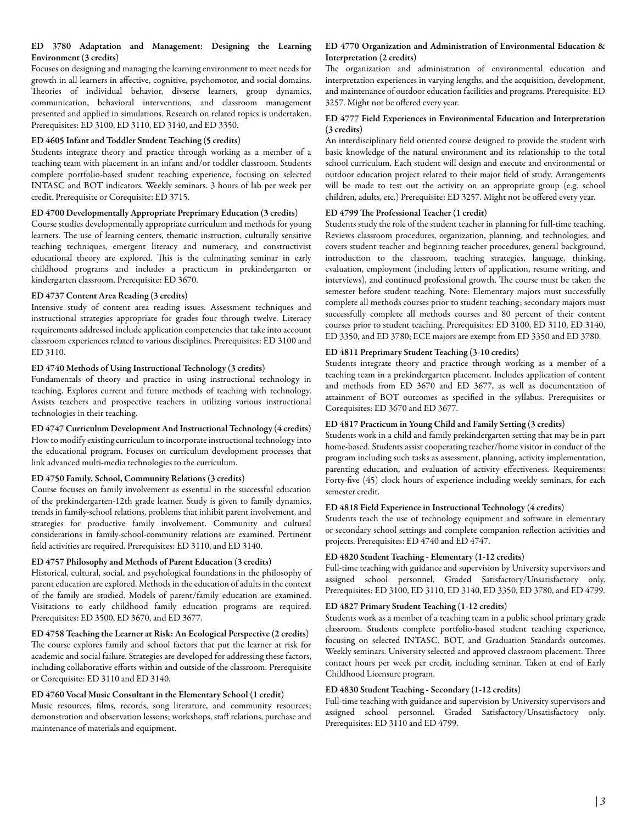## ED 3780 Adaptation and Management: Designing the Learning Environment (3 credits)

Focuses on designing and managing the learning environment to meet needs for growth in all learners in affective, cognitive, psychomotor, and social domains. Theories of individual behavior, divserse learners, group dynamics, communication, behavioral interventions, and classroom management presented and applied in simulations. Research on related topics is undertaken. Prerequisites: ED 3100, ED 3110, ED 3140, and ED 3350.

## ED 4605 Infant and Toddler Student Teaching (5 credits)

Students integrate theory and practice through working as a member of a teaching team with placement in an infant and/or toddler classroom. Students complete portfolio-based student teaching experience, focusing on selected INTASC and BOT indicators. Weekly seminars. 3 hours of lab per week per credit. Prerequisite or Corequisite: ED 3715.

#### ED 4700 Developmentally Appropriate Preprimary Education (3 credits)

Course studies developmentally appropriate curriculum and methods for young learners. The use of learning centers, thematic instruction, culturally sensitive teaching techniques, emergent literacy and numeracy, and constructivist educational theory are explored. This is the culminating seminar in early childhood programs and includes a practicum in prekindergarten or kindergarten classroom. Prerequisite: ED 3670.

## ED 4737 Content Area Reading (3 credits)

Intensive study of content area reading issues. Assessment techniques and instructional strategies appropriate for grades four through twelve. Literacy requirements addressed include application competencies that take into account classroom experiences related to various disciplines. Prerequisites: ED 3100 and ED 3110.

## ED 4740 Methods of Using Instructional Technology (3 credits)

Fundamentals of theory and practice in using instructional technology in teaching. Explores current and future methods of teaching with technology. Assists teachers and prospective teachers in utilizing various instructional technologies in their teaching.

#### ED 4747 Curriculum Development And Instructional Technology (4 credits) How to modify existing curriculum to incorporate instructional technology into the educational program. Focuses on curriculum development processes that link advanced multi-media technologies to the curriculum.

## ED 4750 Family, School, Community Relations (3 credits)

Course focuses on family involvement as essential in the successful education of the prekindergarten-12th grade learner. Study is given to family dynamics, trends in family-school relations, problems that inhibit parent involvement, and strategies for productive family involvement. Community and cultural considerations in family-school-community relations are examined. Pertinent field activities are required. Prerequisites: ED 3110, and ED 3140.

#### ED 4757 Philosophy and Methods of Parent Education (3 credits)

Historical, cultural, social, and psychological foundations in the philosophy of parent education are explored. Methods in the education of adults in the context of the family are studied. Models of parent/family education are examined. Visitations to early childhood family education programs are required. Prerequisites: ED 3500, ED 3670, and ED 3677.

ED 4758 Teaching the Learner at Risk: An Ecological Perspective (2 credits) The course explores family and school factors that put the learner at risk for academic and social failure. Strategies are developed for addressing these factors, including collaborative efforts within and outside of the classroom. Prerequisite or Corequisite: ED 3110 and ED 3140.

#### ED 4760 Vocal Music Consultant in the Elementary School (1 credit)

Music resources, films, records, song literature, and community resources; demonstration and observation lessons; workshops, staff relations, purchase and maintenance of materials and equipment.

## ED 4770 Organization and Administration of Environmental Education & Interpretation (2 credits)

The organization and administration of environmental education and interpretation experiences in varying lengths, and the acquisition, development, and maintenance of outdoor education facilities and programs. Prerequisite: ED 3257. Might not be offered every year.

#### ED 4777 Field Experiences in Environmental Education and Interpretation (3 credits)

An interdisciplinary field oriented course designed to provide the student with basic knowledge of the natural environment and its relationship to the total school curriculum. Each student will design and execute and environmental or outdoor education project related to their major field of study. Arrangements will be made to test out the activity on an appropriate group (e.g. school children, adults, etc.) Prerequisite: ED 3257. Might not be offered every year.

## ED 4799 The Professional Teacher (1 credit)

Students study the role of the student teacher in planning for full-time teaching. Reviews classroom procedures, organization, planning, and technologies, and covers student teacher and beginning teacher procedures, general background, introduction to the classroom, teaching strategies, language, thinking, evaluation, employment (including letters of application, resume writing, and interviews), and continued professional growth. The course must be taken the semester before student teaching. Note: Elementary majors must successfully complete all methods courses prior to student teaching; secondary majors must successfully complete all methods courses and 80 percent of their content courses prior to student teaching. Prerequisites: ED 3100, ED 3110, ED 3140, ED 3350, and ED 3780; ECE majors are exempt from ED 3350 and ED 3780.

#### ED 4811 Preprimary Student Teaching (3-10 credits)

Students integrate theory and practice through working as a member of a teaching team in a prekindergarten placement. Includes application of content and methods from ED 3670 and ED 3677, as well as documentation of attainment of BOT outcomes as specified in the syllabus. Prerequisites or Corequisites: ED 3670 and ED 3677.

## ED 4817 Practicum in Young Child and Family Setting (3 credits)

Students work in a child and family prekindergarten setting that may be in part home-based. Students assist cooperating teacher/home visitor in conduct of the program including such tasks as assessment, planning, activity implementation, parenting education, and evaluation of activity effectiveness. Requirements: Forty-five (45) clock hours of experience including weekly seminars, for each semester credit.

## ED 4818 Field Experience in Instructional Technology (4 credits)

Students teach the use of technology equipment and software in elementary or secondary school settings and complete companion reflection activities and projects. Prerequisites: ED 4740 and ED 4747.

#### ED 4820 Student Teaching - Elementary (1-12 credits)

Full-time teaching with guidance and supervision by University supervisors and assigned school personnel. Graded Satisfactory/Unsatisfactory only. Prerequisites: ED 3100, ED 3110, ED 3140, ED 3350, ED 3780, and ED 4799.

#### ED 4827 Primary Student Teaching (1-12 credits)

Students work as a member of a teaching team in a public school primary grade classroom. Students complete portfolio-based student teaching experience, focusing on selected INTASC, BOT, and Graduation Standards outcomes. Weekly seminars. University selected and approved classroom placement. Three contact hours per week per credit, including seminar. Taken at end of Early Childhood Licensure program.

#### ED 4830 Student Teaching - Secondary (1-12 credits)

Full-time teaching with guidance and supervision by University supervisors and assigned school personnel. Graded Satisfactory/Unsatisfactory only. Prerequisites: ED 3110 and ED 4799.